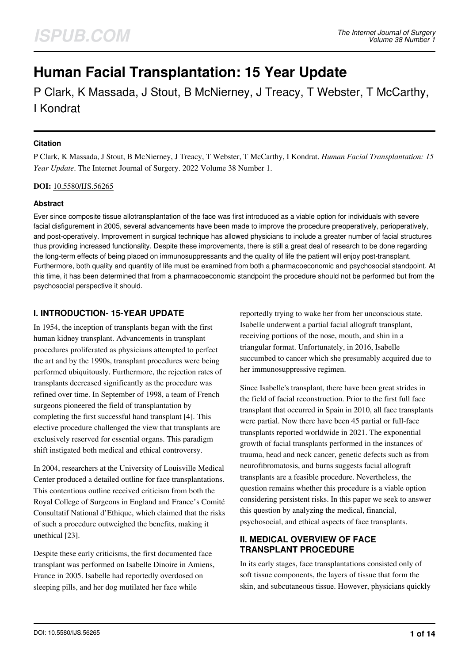# **Human Facial Transplantation: 15 Year Update**

P Clark, K Massada, J Stout, B McNierney, J Treacy, T Webster, T McCarthy, I Kondrat

#### **Citation**

P Clark, K Massada, J Stout, B McNierney, J Treacy, T Webster, T McCarthy, I Kondrat. *Human Facial Transplantation: 15 Year Update*. The Internet Journal of Surgery. 2022 Volume 38 Number 1.

#### **DOI:** [10.5580/IJS.56265](https://ispub.com/doi/10.5580/IJS.56265)

## **Abstract**

Ever since composite tissue allotransplantation of the face was first introduced as a viable option for individuals with severe facial disfigurement in 2005, several advancements have been made to improve the procedure preoperatively, perioperatively, and post-operatively. Improvement in surgical technique has allowed physicians to include a greater number of facial structures thus providing increased functionality. Despite these improvements, there is still a great deal of research to be done regarding the long-term effects of being placed on immunosuppressants and the quality of life the patient will enjoy post-transplant. Furthermore, both quality and quantity of life must be examined from both a pharmacoeconomic and psychosocial standpoint. At this time, it has been determined that from a pharmacoeconomic standpoint the procedure should not be performed but from the psychosocial perspective it should.

# **I. INTRODUCTION- 15-YEAR UPDATE**

In 1954, the inception of transplants began with the first human kidney transplant. Advancements in transplant procedures proliferated as physicians attempted to perfect the art and by the 1990s, transplant procedures were being performed ubiquitously. Furthermore, the rejection rates of transplants decreased significantly as the procedure was refined over time. In September of 1998, a team of French surgeons pioneered the field of transplantation by completing the first successful hand transplant [4]. This elective procedure challenged the view that transplants are exclusively reserved for essential organs. This paradigm shift instigated both medical and ethical controversy.

In 2004, researchers at the University of Louisville Medical Center produced a detailed outline for face transplantations. This contentious outline received criticism from both the Royal College of Surgeons in England and France's Comité Consultatif National d'Ethique, which claimed that the risks of such a procedure outweighed the benefits, making it unethical [23].

Despite these early criticisms, the first documented face transplant was performed on Isabelle Dinoire in Amiens, France in 2005. Isabelle had reportedly overdosed on sleeping pills, and her dog mutilated her face while

reportedly trying to wake her from her unconscious state. Isabelle underwent a partial facial allograft transplant, receiving portions of the nose, mouth, and shin in a triangular format. Unfortunately, in 2016, Isabelle succumbed to cancer which she presumably acquired due to her immunosuppressive regimen.

Since Isabelle's transplant, there have been great strides in the field of facial reconstruction. Prior to the first full face transplant that occurred in Spain in 2010, all face transplants were partial. Now there have been 45 partial or full-face transplants reported worldwide in 2021. The exponential growth of facial transplants performed in the instances of trauma, head and neck cancer, genetic defects such as from neurofibromatosis, and burns suggests facial allograft transplants are a feasible procedure. Nevertheless, the question remains whether this procedure is a viable option considering persistent risks. In this paper we seek to answer this question by analyzing the medical, financial, psychosocial, and ethical aspects of face transplants.

## **II. MEDICAL OVERVIEW OF FACE TRANSPLANT PROCEDURE**

In its early stages, face transplantations consisted only of soft tissue components, the layers of tissue that form the skin, and subcutaneous tissue. However, physicians quickly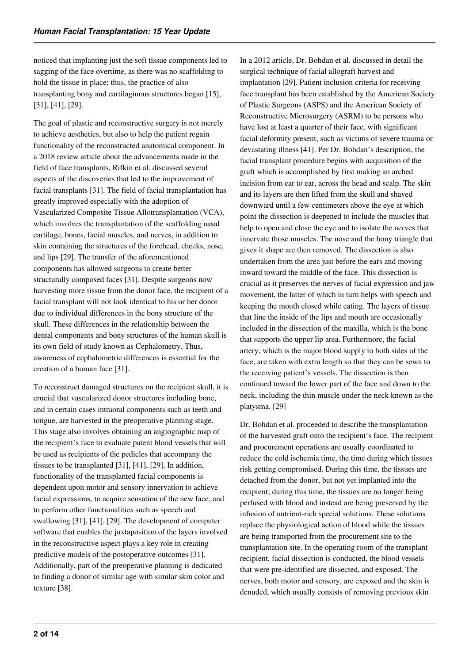noticed that implanting just the soft tissue components led to sagging of the face overtime, as there was no scaffolding to hold the tissue in place; thus, the practice of also transplanting bony and cartilaginous structures began [15], [31], [41], [29].

The goal of plastic and reconstructive surgery is not merely to achieve aesthetics, but also to help the patient regain functionality of the reconstructed anatomical component. In a 2018 review article about the advancements made in the field of face transplants, Rifkin et al. discussed several aspects of the discoveries that led to the improvement of facial transplants [31]. The field of facial transplantation has greatly improved especially with the adoption of Vascularized Composite Tissue Allotransplantation (VCA), which involves the transplantation of the scaffolding nasal cartilage, bones, facial muscles, and nerves, in addition to skin containing the structures of the forehead, cheeks, nose, and lips [29]. The transfer of the aforementioned components has allowed surgeons to create better structurally composed faces [31]. Despite surgeons now harvesting more tissue from the donor face, the recipient of a facial transplant will not look identical to his or her donor due to individual differences in the bony structure of the skull. These differences in the relationship between the dental components and bony structures of the human skull is its own field of study known as Cephalometry. Thus, awareness of cephalometric differences is essential for the creation of a human face [31].

To reconstruct damaged structures on the recipient skull, it is crucial that vascularized donor structures including bone, and in certain cases intraoral components such as teeth and tongue, are harvested in the preoperative planning stage. This stage also involves obtaining an angiographic map of the recipient's face to evaluate patent blood vessels that will be used as recipients of the pedicles that accompany the tissues to be transplanted [31], [41], [29]. In addition, functionality of the transplanted facial components is dependent upon motor and sensory innervation to achieve facial expressions, to acquire sensation of the new face, and to perform other functionalities such as speech and swallowing [31], [41], [29]. The development of computer software that enables the juxtaposition of the layers involved in the reconstructive aspect plays a key role in creating predictive models of the postoperative outcomes [31]. Additionally, part of the preoperative planning is dedicated to finding a donor of similar age with similar skin color and texture [38].

In a 2012 article, Dr. Bohdan et al. discussed in detail the surgical technique of facial allograft harvest and implantation [29]. Patient inclusion criteria for receiving face transplant has been established by the American Society of Plastic Surgeons (ASPS) and the American Society of Reconstructive Microsurgery (ASRM) to be persons who have lost at least a quarter of their face, with significant facial deformity present, such as victims of severe trauma or devastating illness [41]. Per Dr. Bohdan's description, the facial transplant procedure begins with acquisition of the graft which is accomplished by first making an arched incision from ear to ear, across the head and scalp. The skin and its layers are then lifted from the skull and shaved downward until a few centimeters above the eye at which point the dissection is deepened to include the muscles that help to open and close the eye and to isolate the nerves that innervate those muscles. The nose and the bony triangle that gives it shape are then removed. The dissection is also undertaken from the area just before the ears and moving inward toward the middle of the face. This dissection is crucial as it preserves the nerves of facial expression and jaw movement, the latter of which in turn helps with speech and keeping the mouth closed while eating. The layers of tissue that line the inside of the lips and mouth are occasionally included in the dissection of the maxilla, which is the bone that supports the upper lip area. Furthermore, the facial artery, which is the major blood supply to both sides of the face, are taken with extra length so that they can be sewn to the receiving patient's vessels. The dissection is then continued toward the lower part of the face and down to the neck, including the thin muscle under the neck known as the platysma. [29]

Dr. Bohdan et al. proceeded to describe the transplantation of the harvested graft onto the recipient's face. The recipient and procurement operations are usually coordinated to reduce the cold ischemia time, the time during which tissues risk getting compromised. During this time, the tissues are detached from the donor, but not yet implanted into the recipient; during this time, the tissues are no longer being perfused with blood and instead are being preserved by the infusion of nutrient-rich special solutions. These solutions replace the physiological action of blood while the tissues are being transported from the procurement site to the transplantation site. In the operating room of the transplant recipient, facial dissection is conducted, the blood vessels that were pre-identified are dissected, and exposed. The nerves, both motor and sensory, are exposed and the skin is denuded, which usually consists of removing previous skin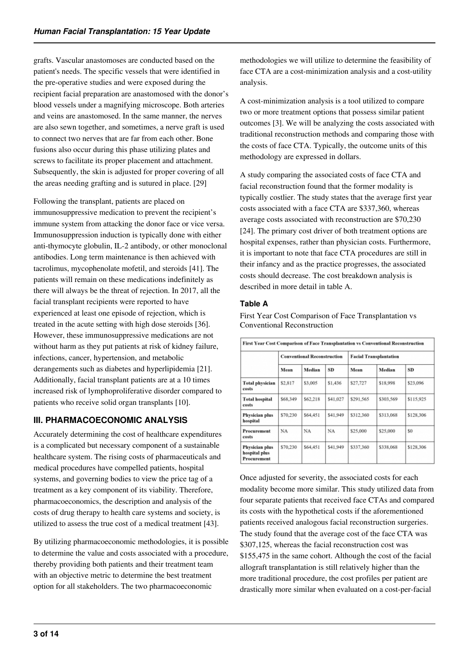grafts. Vascular anastomoses are conducted based on the patient's needs. The specific vessels that were identified in the pre-operative studies and were exposed during the recipient facial preparation are anastomosed with the donor's blood vessels under a magnifying microscope. Both arteries and veins are anastomosed. In the same manner, the nerves are also sewn together, and sometimes, a nerve graft is used to connect two nerves that are far from each other. Bone fusions also occur during this phase utilizing plates and screws to facilitate its proper placement and attachment. Subsequently, the skin is adjusted for proper covering of all the areas needing grafting and is sutured in place. [29]

Following the transplant, patients are placed on immunosuppressive medication to prevent the recipient's immune system from attacking the donor face or vice versa. Immunosuppression induction is typically done with either anti-thymocyte globulin, IL-2 antibody, or other monoclonal antibodies. Long term maintenance is then achieved with tacrolimus, mycophenolate mofetil, and steroids [41]. The patients will remain on these medications indefinitely as there will always be the threat of rejection. In 2017, all the facial transplant recipients were reported to have experienced at least one episode of rejection, which is treated in the acute setting with high dose steroids [36]. However, these immunosuppressive medications are not without harm as they put patients at risk of kidney failure, infections, cancer, hypertension, and metabolic derangements such as diabetes and hyperlipidemia [21]. Additionally, facial transplant patients are at a 10 times increased risk of lymphoproliferative disorder compared to patients who receive solid organ transplants [10].

# **III. PHARMACOECONOMIC ANALYSIS**

Accurately determining the cost of healthcare expenditures is a complicated but necessary component of a sustainable healthcare system. The rising costs of pharmaceuticals and medical procedures have compelled patients, hospital systems, and governing bodies to view the price tag of a treatment as a key component of its viability. Therefore, pharmacoeconomics, the description and analysis of the costs of drug therapy to health care systems and society, is utilized to assess the true cost of a medical treatment [43].

By utilizing pharmacoeconomic methodologies, it is possible to determine the value and costs associated with a procedure, thereby providing both patients and their treatment team with an objective metric to determine the best treatment option for all stakeholders. The two pharmacoeconomic

methodologies we will utilize to determine the feasibility of face CTA are a cost-minimization analysis and a cost-utility analysis.

A cost-minimization analysis is a tool utilized to compare two or more treatment options that possess similar patient outcomes [3]. We will be analyzing the costs associated with traditional reconstruction methods and comparing those with the costs of face CTA. Typically, the outcome units of this methodology are expressed in dollars.

A study comparing the associated costs of face CTA and facial reconstruction found that the former modality is typically costlier. The study states that the average first year costs associated with a face CTA are \$337,360, whereas average costs associated with reconstruction are \$70,230 [24]. The primary cost driver of both treatment options are hospital expenses, rather than physician costs. Furthermore, it is important to note that face CTA procedures are still in their infancy and as the practice progresses, the associated costs should decrease. The cost breakdown analysis is described in more detail in table A.

## **Table A**

First Year Cost Comparison of Face Transplantation vs Conventional Reconstruction

| First Year Cost Comparison of Face Transplantation vs Conventional Reconstruction |                                    |          |           |                               |           |           |
|-----------------------------------------------------------------------------------|------------------------------------|----------|-----------|-------------------------------|-----------|-----------|
|                                                                                   | <b>Conventional Reconstruction</b> |          |           | <b>Facial Transplantation</b> |           |           |
|                                                                                   | Mean                               | Median   | <b>SD</b> | Mean                          | Median    | SD        |
| <b>Total physician</b><br>costs                                                   | \$2,817                            | \$3,005  | \$1,436   | \$27,727                      | \$18,998  | \$23,096  |
| <b>Total hospital</b><br>costs                                                    | \$68,349                           | \$62,218 | \$41,027  | \$291,565                     | \$303,569 | \$115,925 |
| Physician plus<br>hospital                                                        | \$70,230                           | \$64,451 | \$41.949  | \$312,360                     | \$313,068 | \$128,306 |
| Procurement<br>costs                                                              | NA                                 | NA       | NA        | \$25,000                      | \$25,000  | \$0       |
| Physician plus<br>hospital plus<br>Procurement                                    | \$70,230                           | \$64,451 | \$41,949  | \$337,360                     | \$338,068 | \$128,306 |

Once adjusted for severity, the associated costs for each modality become more similar. This study utilized data from four separate patients that received face CTAs and compared its costs with the hypothetical costs if the aforementioned patients received analogous facial reconstruction surgeries. The study found that the average cost of the face CTA was \$307,125, whereas the facial reconstruction cost was \$155,475 in the same cohort. Although the cost of the facial allograft transplantation is still relatively higher than the more traditional procedure, the cost profiles per patient are drastically more similar when evaluated on a cost-per-facial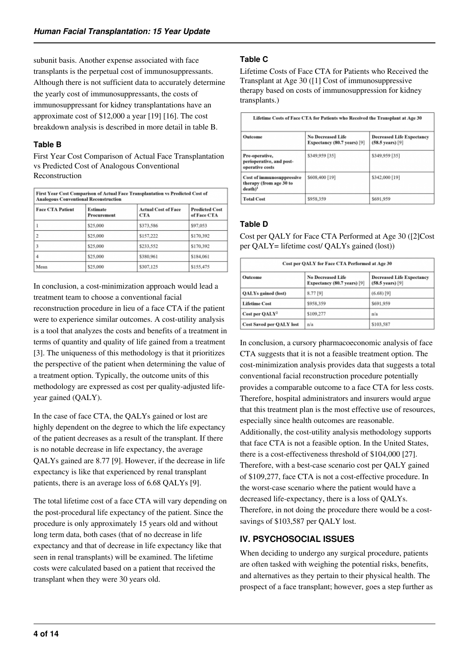subunit basis. Another expense associated with face transplants is the perpetual cost of immunosuppressants. Although there is not sufficient data to accurately determine the yearly cost of immunosuppressants, the costs of immunosuppressant for kidney transplantations have an approximate cost of \$12,000 a year [19] [16]. The cost breakdown analysis is described in more detail in table B.

## **Table B**

First Year Cost Comparison of Actual Face Transplantation vs Predicted Cost of Analogous Conventional Reconstruction

| First Year Cost Comparison of Actual Face Transplantation vs Predicted Cost of<br><b>Analogous Conventional Reconstruction</b> |                         |                                          |                                      |  |  |
|--------------------------------------------------------------------------------------------------------------------------------|-------------------------|------------------------------------------|--------------------------------------|--|--|
| <b>Face CTA Patient</b>                                                                                                        | Estimate<br>Procurement | <b>Actual Cost of Face</b><br><b>CTA</b> | <b>Predicted Cost</b><br>of Face CTA |  |  |
|                                                                                                                                | \$25,000                | \$373,586                                | \$97,053                             |  |  |
| $\overline{2}$                                                                                                                 | \$25,000                | \$157,222                                | \$170,392                            |  |  |
| 3                                                                                                                              | \$25,000                | \$233.552                                | \$170,392                            |  |  |
| 4                                                                                                                              | \$25,000                | \$380,961                                | \$184,061                            |  |  |
| Mean                                                                                                                           | \$25,000                | \$307,125                                | \$155,475                            |  |  |

In conclusion, a cost-minimization approach would lead a treatment team to choose a conventional facial reconstruction procedure in lieu of a face CTA if the patient were to experience similar outcomes. A cost-utility analysis is a tool that analyzes the costs and benefits of a treatment in terms of quantity and quality of life gained from a treatment [3]. The uniqueness of this methodology is that it prioritizes the perspective of the patient when determining the value of a treatment option. Typically, the outcome units of this methodology are expressed as cost per quality-adjusted lifeyear gained (QALY).

In the case of face CTA, the QALYs gained or lost are highly dependent on the degree to which the life expectancy of the patient decreases as a result of the transplant. If there is no notable decrease in life expectancy, the average QALYs gained are 8.77 [9]. However, if the decrease in life expectancy is like that experienced by renal transplant patients, there is an average loss of 6.68 QALYs [9].

The total lifetime cost of a face CTA will vary depending on the post-procedural life expectancy of the patient. Since the procedure is only approximately 15 years old and without long term data, both cases (that of no decrease in life expectancy and that of decrease in life expectancy like that seen in renal transplants) will be examined. The lifetime costs were calculated based on a patient that received the transplant when they were 30 years old.

# **Table C**

Lifetime Costs of Face CTA for Patients who Received the Transplant at Age 30 ([1] Cost of immunosuppressive therapy based on costs of immunosuppression for kidney transplants.)

| Lifetime Costs of Face CTA for Patients who Received the Transplant at Age 30 |                                                         |                                                                |  |  |  |
|-------------------------------------------------------------------------------|---------------------------------------------------------|----------------------------------------------------------------|--|--|--|
| Outcome                                                                       | <b>No Decreased Life</b><br>Expectancy (80.7 years) [9] | <b>Decreased Life Expectancy</b><br>$(58.5 \text{ years})$ [9] |  |  |  |
| Pre-operative,<br>perioperative, and post-<br>operative costs                 | \$349,959 [35]                                          | \$349,959 [35]                                                 |  |  |  |
| <b>Cost of immunosuppressive</b><br>therapy (from age 30 to<br>$death)^1$     | \$608,400 [19]                                          | \$342,000 [19]                                                 |  |  |  |
| <b>Total Cost</b>                                                             | \$958,359                                               | \$691,959                                                      |  |  |  |

## **Table D**

Cost per QALY for Face CTA Performed at Age 30 ([2]Cost per QALY= lifetime cost/ QALYs gained (lost))

| Cost per QALY for Face CTA Performed at Age 30 |                                                         |                                                                |  |  |  |
|------------------------------------------------|---------------------------------------------------------|----------------------------------------------------------------|--|--|--|
| Outcome                                        | <b>No Decreased Life</b><br>Expectancy (80.7 years) [9] | <b>Decreased Life Expectancy</b><br>$(58.5 \text{ years})$ [9] |  |  |  |
| QALYs gained (lost)                            | 8.77 [9]                                                | $(6.68)$ <sup>[9]</sup>                                        |  |  |  |
| <b>Lifetime Cost</b>                           | \$958,359                                               | \$691,959                                                      |  |  |  |
| Cost per QALY <sup>2</sup>                     | \$109,277                                               | n/a                                                            |  |  |  |
| <b>Cost Saved per QALY lost</b>                | n/a                                                     | \$103,587                                                      |  |  |  |

In conclusion, a cursory pharmacoeconomic analysis of face CTA suggests that it is not a feasible treatment option. The cost-minimization analysis provides data that suggests a total conventional facial reconstruction procedure potentially provides a comparable outcome to a face CTA for less costs. Therefore, hospital administrators and insurers would argue that this treatment plan is the most effective use of resources, especially since health outcomes are reasonable. Additionally, the cost-utility analysis methodology supports that face CTA is not a feasible option. In the United States, there is a cost-effectiveness threshold of \$104,000 [27]. Therefore, with a best-case scenario cost per QALY gained of \$109,277, face CTA is not a cost-effective procedure. In the worst-case scenario where the patient would have a decreased life-expectancy, there is a loss of QALYs. Therefore, in not doing the procedure there would be a costsavings of \$103,587 per QALY lost.

# **IV. PSYCHOSOCIAL ISSUES**

When deciding to undergo any surgical procedure, patients are often tasked with weighing the potential risks, benefits, and alternatives as they pertain to their physical health. The prospect of a face transplant; however, goes a step further as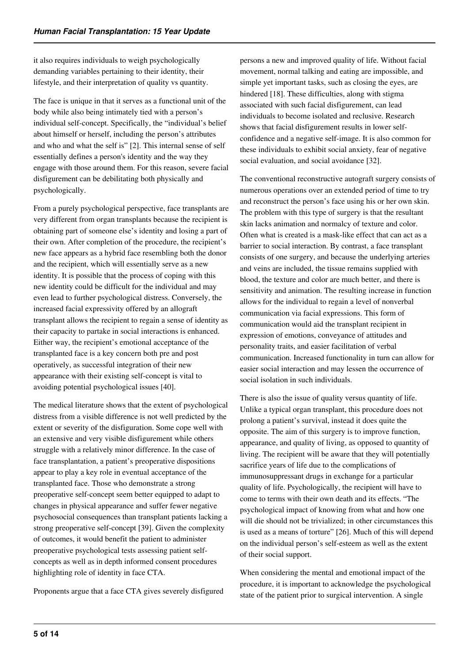it also requires individuals to weigh psychologically demanding variables pertaining to their identity, their lifestyle, and their interpretation of quality vs quantity.

The face is unique in that it serves as a functional unit of the body while also being intimately tied with a person's individual self-concept. Specifically, the "individual's belief about himself or herself, including the person's attributes and who and what the self is" [2]. This internal sense of self essentially defines a person's identity and the way they engage with those around them. For this reason, severe facial disfigurement can be debilitating both physically and psychologically.

From a purely psychological perspective, face transplants are very different from organ transplants because the recipient is obtaining part of someone else's identity and losing a part of their own. After completion of the procedure, the recipient's new face appears as a hybrid face resembling both the donor and the recipient, which will essentially serve as a new identity. It is possible that the process of coping with this new identity could be difficult for the individual and may even lead to further psychological distress. Conversely, the increased facial expressivity offered by an allograft transplant allows the recipient to regain a sense of identity as their capacity to partake in social interactions is enhanced. Either way, the recipient's emotional acceptance of the transplanted face is a key concern both pre and post operatively, as successful integration of their new appearance with their existing self-concept is vital to avoiding potential psychological issues [40].

The medical literature shows that the extent of psychological distress from a visible difference is not well predicted by the extent or severity of the disfiguration. Some cope well with an extensive and very visible disfigurement while others struggle with a relatively minor difference. In the case of face transplantation, a patient's preoperative dispositions appear to play a key role in eventual acceptance of the transplanted face. Those who demonstrate a strong preoperative self-concept seem better equipped to adapt to changes in physical appearance and suffer fewer negative psychosocial consequences than transplant patients lacking a strong preoperative self-concept [39]. Given the complexity of outcomes, it would benefit the patient to administer preoperative psychological tests assessing patient selfconcepts as well as in depth informed consent procedures highlighting role of identity in face CTA.

Proponents argue that a face CTA gives severely disfigured

persons a new and improved quality of life. Without facial movement, normal talking and eating are impossible, and simple yet important tasks, such as closing the eyes, are hindered [18]. These difficulties, along with stigma associated with such facial disfigurement, can lead individuals to become isolated and reclusive. Research shows that facial disfigurement results in lower selfconfidence and a negative self-image. It is also common for these individuals to exhibit social anxiety, fear of negative social evaluation, and social avoidance [32].

The conventional reconstructive autograft surgery consists of numerous operations over an extended period of time to try and reconstruct the person's face using his or her own skin. The problem with this type of surgery is that the resultant skin lacks animation and normalcy of texture and color. Often what is created is a mask-like effect that can act as a barrier to social interaction. By contrast, a face transplant consists of one surgery, and because the underlying arteries and veins are included, the tissue remains supplied with blood, the texture and color are much better, and there is sensitivity and animation. The resulting increase in function allows for the individual to regain a level of nonverbal communication via facial expressions. This form of communication would aid the transplant recipient in expression of emotions, conveyance of attitudes and personality traits, and easier facilitation of verbal communication. Increased functionality in turn can allow for easier social interaction and may lessen the occurrence of social isolation in such individuals.

There is also the issue of quality versus quantity of life. Unlike a typical organ transplant, this procedure does not prolong a patient's survival, instead it does quite the opposite. The aim of this surgery is to improve function, appearance, and quality of living, as opposed to quantity of living. The recipient will be aware that they will potentially sacrifice years of life due to the complications of immunosuppressant drugs in exchange for a particular quality of life. Psychologically, the recipient will have to come to terms with their own death and its effects. "The psychological impact of knowing from what and how one will die should not be trivialized; in other circumstances this is used as a means of torture" [26]. Much of this will depend on the individual person's self-esteem as well as the extent of their social support.

When considering the mental and emotional impact of the procedure, it is important to acknowledge the psychological state of the patient prior to surgical intervention. A single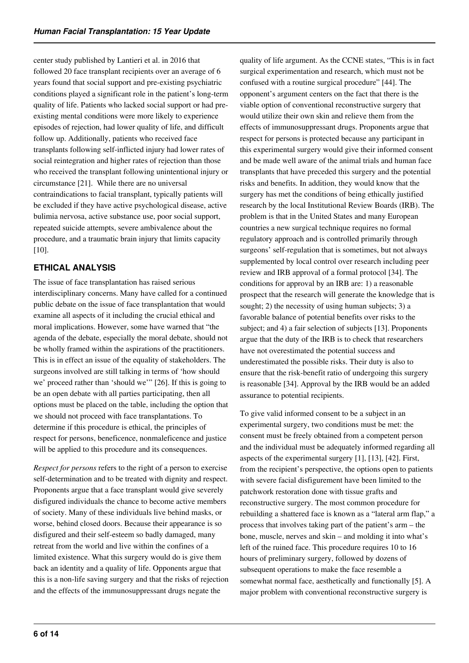center study published by Lantieri et al. in 2016 that followed 20 face transplant recipients over an average of 6 years found that social support and pre-existing psychiatric conditions played a significant role in the patient's long-term quality of life. Patients who lacked social support or had preexisting mental conditions were more likely to experience episodes of rejection, had lower quality of life, and difficult follow up. Additionally, patients who received face transplants following self-inflicted injury had lower rates of social reintegration and higher rates of rejection than those who received the transplant following unintentional injury or circumstance [21]. While there are no universal contraindications to facial transplant, typically patients will be excluded if they have active psychological disease, active bulimia nervosa, active substance use, poor social support, repeated suicide attempts, severe ambivalence about the procedure, and a traumatic brain injury that limits capacity [10].

# **ETHICAL ANALYSIS**

The issue of face transplantation has raised serious interdisciplinary concerns. Many have called for a continued public debate on the issue of face transplantation that would examine all aspects of it including the crucial ethical and moral implications. However, some have warned that "the agenda of the debate, especially the moral debate, should not be wholly framed within the aspirations of the practitioners. This is in effect an issue of the equality of stakeholders. The surgeons involved are still talking in terms of 'how should we' proceed rather than 'should we'" [26]. If this is going to be an open debate with all parties participating, then all options must be placed on the table, including the option that we should not proceed with face transplantations. To determine if this procedure is ethical, the principles of respect for persons, beneficence, nonmaleficence and justice will be applied to this procedure and its consequences.

*Respect for persons* refers to the right of a person to exercise self-determination and to be treated with dignity and respect. Proponents argue that a face transplant would give severely disfigured individuals the chance to become active members of society. Many of these individuals live behind masks, or worse, behind closed doors. Because their appearance is so disfigured and their self-esteem so badly damaged, many retreat from the world and live within the confines of a limited existence. What this surgery would do is give them back an identity and a quality of life. Opponents argue that this is a non-life saving surgery and that the risks of rejection and the effects of the immunosuppressant drugs negate the

quality of life argument. As the CCNE states, "This is in fact surgical experimentation and research, which must not be confused with a routine surgical procedure" [44]. The opponent's argument centers on the fact that there is the viable option of conventional reconstructive surgery that would utilize their own skin and relieve them from the effects of immunosuppressant drugs. Proponents argue that respect for persons is protected because any participant in this experimental surgery would give their informed consent and be made well aware of the animal trials and human face transplants that have preceded this surgery and the potential risks and benefits. In addition, they would know that the surgery has met the conditions of being ethically justified research by the local Institutional Review Boards (IRB). The problem is that in the United States and many European countries a new surgical technique requires no formal regulatory approach and is controlled primarily through surgeons' self-regulation that is sometimes, but not always supplemented by local control over research including peer review and IRB approval of a formal protocol [34]. The conditions for approval by an IRB are: 1) a reasonable prospect that the research will generate the knowledge that is sought; 2) the necessity of using human subjects; 3) a favorable balance of potential benefits over risks to the subject; and 4) a fair selection of subjects [13]. Proponents argue that the duty of the IRB is to check that researchers have not overestimated the potential success and underestimated the possible risks. Their duty is also to ensure that the risk-benefit ratio of undergoing this surgery is reasonable [34]. Approval by the IRB would be an added assurance to potential recipients.

To give valid informed consent to be a subject in an experimental surgery, two conditions must be met: the consent must be freely obtained from a competent person and the individual must be adequately informed regarding all aspects of the experimental surgery [1], [13], [42]. First, from the recipient's perspective, the options open to patients with severe facial disfigurement have been limited to the patchwork restoration done with tissue grafts and reconstructive surgery. The most common procedure for rebuilding a shattered face is known as a "lateral arm flap," a process that involves taking part of the patient's arm – the bone, muscle, nerves and skin – and molding it into what's left of the ruined face. This procedure requires 10 to 16 hours of preliminary surgery, followed by dozens of subsequent operations to make the face resemble a somewhat normal face, aesthetically and functionally [5]. A major problem with conventional reconstructive surgery is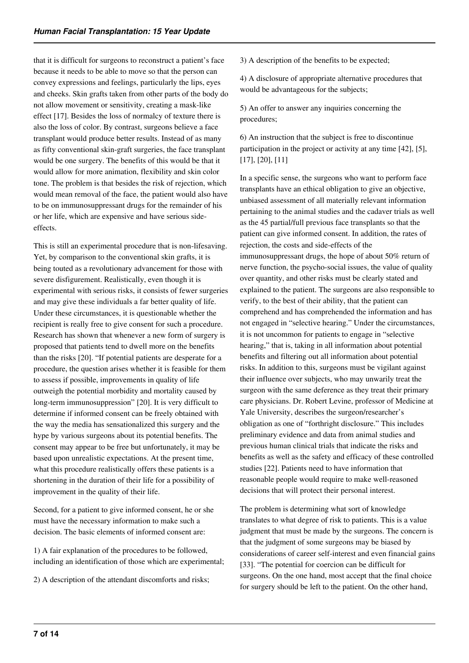that it is difficult for surgeons to reconstruct a patient's face because it needs to be able to move so that the person can convey expressions and feelings, particularly the lips, eyes and cheeks. Skin grafts taken from other parts of the body do not allow movement or sensitivity, creating a mask-like effect [17]. Besides the loss of normalcy of texture there is also the loss of color. By contrast, surgeons believe a face transplant would produce better results. Instead of as many as fifty conventional skin-graft surgeries, the face transplant would be one surgery. The benefits of this would be that it would allow for more animation, flexibility and skin color tone. The problem is that besides the risk of rejection, which would mean removal of the face, the patient would also have to be on immunosuppressant drugs for the remainder of his or her life, which are expensive and have serious sideeffects.

This is still an experimental procedure that is non-lifesaving. Yet, by comparison to the conventional skin grafts, it is being touted as a revolutionary advancement for those with severe disfigurement. Realistically, even though it is experimental with serious risks, it consists of fewer surgeries and may give these individuals a far better quality of life. Under these circumstances, it is questionable whether the recipient is really free to give consent for such a procedure. Research has shown that whenever a new form of surgery is proposed that patients tend to dwell more on the benefits than the risks [20]. "If potential patients are desperate for a procedure, the question arises whether it is feasible for them to assess if possible, improvements in quality of life outweigh the potential morbidity and mortality caused by long-term immunosuppression" [20]. It is very difficult to determine if informed consent can be freely obtained with the way the media has sensationalized this surgery and the hype by various surgeons about its potential benefits. The consent may appear to be free but unfortunately, it may be based upon unrealistic expectations. At the present time, what this procedure realistically offers these patients is a shortening in the duration of their life for a possibility of improvement in the quality of their life.

Second, for a patient to give informed consent, he or she must have the necessary information to make such a decision. The basic elements of informed consent are:

1) A fair explanation of the procedures to be followed, including an identification of those which are experimental;

2) A description of the attendant discomforts and risks;

3) A description of the benefits to be expected;

4) A disclosure of appropriate alternative procedures that would be advantageous for the subjects;

5) An offer to answer any inquiries concerning the procedures;

6) An instruction that the subject is free to discontinue participation in the project or activity at any time [42], [5], [17], [20], [11]

In a specific sense, the surgeons who want to perform face transplants have an ethical obligation to give an objective, unbiased assessment of all materially relevant information pertaining to the animal studies and the cadaver trials as well as the 45 partial/full previous face transplants so that the patient can give informed consent. In addition, the rates of rejection, the costs and side-effects of the immunosuppressant drugs, the hope of about 50% return of nerve function, the psycho-social issues, the value of quality over quantity, and other risks must be clearly stated and explained to the patient. The surgeons are also responsible to verify, to the best of their ability, that the patient can comprehend and has comprehended the information and has not engaged in "selective hearing." Under the circumstances, it is not uncommon for patients to engage in "selective hearing," that is, taking in all information about potential benefits and filtering out all information about potential risks. In addition to this, surgeons must be vigilant against their influence over subjects, who may unwarily treat the surgeon with the same deference as they treat their primary care physicians. Dr. Robert Levine, professor of Medicine at Yale University, describes the surgeon/researcher's obligation as one of "forthright disclosure." This includes preliminary evidence and data from animal studies and previous human clinical trials that indicate the risks and benefits as well as the safety and efficacy of these controlled studies [22]. Patients need to have information that reasonable people would require to make well-reasoned decisions that will protect their personal interest.

The problem is determining what sort of knowledge translates to what degree of risk to patients. This is a value judgment that must be made by the surgeons. The concern is that the judgment of some surgeons may be biased by considerations of career self-interest and even financial gains [33]. "The potential for coercion can be difficult for surgeons. On the one hand, most accept that the final choice for surgery should be left to the patient. On the other hand,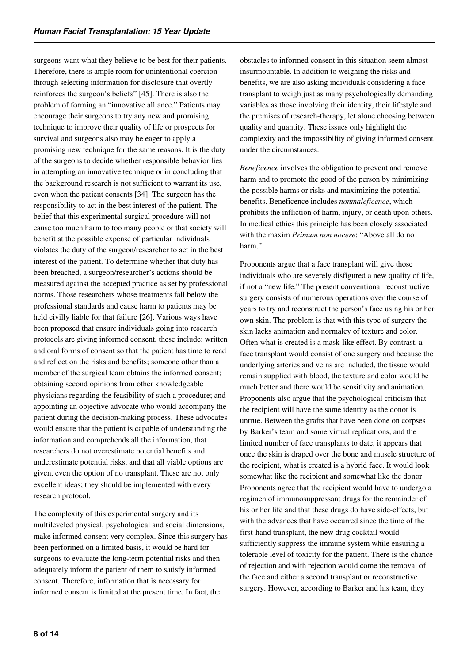surgeons want what they believe to be best for their patients. Therefore, there is ample room for unintentional coercion through selecting information for disclosure that overtly reinforces the surgeon's beliefs" [45]. There is also the problem of forming an "innovative alliance." Patients may encourage their surgeons to try any new and promising technique to improve their quality of life or prospects for survival and surgeons also may be eager to apply a promising new technique for the same reasons. It is the duty of the surgeons to decide whether responsible behavior lies in attempting an innovative technique or in concluding that the background research is not sufficient to warrant its use, even when the patient consents [34]. The surgeon has the responsibility to act in the best interest of the patient. The belief that this experimental surgical procedure will not cause too much harm to too many people or that society will benefit at the possible expense of particular individuals violates the duty of the surgeon/researcher to act in the best interest of the patient. To determine whether that duty has been breached, a surgeon/researcher's actions should be measured against the accepted practice as set by professional norms. Those researchers whose treatments fall below the professional standards and cause harm to patients may be held civilly liable for that failure [26]. Various ways have been proposed that ensure individuals going into research protocols are giving informed consent, these include: written and oral forms of consent so that the patient has time to read and reflect on the risks and benefits; someone other than a member of the surgical team obtains the informed consent; obtaining second opinions from other knowledgeable physicians regarding the feasibility of such a procedure; and appointing an objective advocate who would accompany the patient during the decision-making process. These advocates would ensure that the patient is capable of understanding the information and comprehends all the information, that researchers do not overestimate potential benefits and underestimate potential risks, and that all viable options are given, even the option of no transplant. These are not only excellent ideas; they should be implemented with every research protocol.

The complexity of this experimental surgery and its multileveled physical, psychological and social dimensions, make informed consent very complex. Since this surgery has been performed on a limited basis, it would be hard for surgeons to evaluate the long-term potential risks and then adequately inform the patient of them to satisfy informed consent. Therefore, information that is necessary for informed consent is limited at the present time. In fact, the

obstacles to informed consent in this situation seem almost insurmountable. In addition to weighing the risks and benefits, we are also asking individuals considering a face transplant to weigh just as many psychologically demanding variables as those involving their identity, their lifestyle and the premises of research-therapy, let alone choosing between quality and quantity. These issues only highlight the complexity and the impossibility of giving informed consent under the circumstances.

*Beneficence* involves the obligation to prevent and remove harm and to promote the good of the person by minimizing the possible harms or risks and maximizing the potential benefits. Beneficence includes *nonmaleficence*, which prohibits the infliction of harm, injury, or death upon others. In medical ethics this principle has been closely associated with the maxim *Primum non nocere*: "Above all do no harm."

Proponents argue that a face transplant will give those individuals who are severely disfigured a new quality of life, if not a "new life." The present conventional reconstructive surgery consists of numerous operations over the course of years to try and reconstruct the person's face using his or her own skin. The problem is that with this type of surgery the skin lacks animation and normalcy of texture and color. Often what is created is a mask-like effect. By contrast, a face transplant would consist of one surgery and because the underlying arteries and veins are included, the tissue would remain supplied with blood, the texture and color would be much better and there would be sensitivity and animation. Proponents also argue that the psychological criticism that the recipient will have the same identity as the donor is untrue. Between the grafts that have been done on corpses by Barker's team and some virtual replications, and the limited number of face transplants to date, it appears that once the skin is draped over the bone and muscle structure of the recipient, what is created is a hybrid face. It would look somewhat like the recipient and somewhat like the donor. Proponents agree that the recipient would have to undergo a regimen of immunosuppressant drugs for the remainder of his or her life and that these drugs do have side-effects, but with the advances that have occurred since the time of the first-hand transplant, the new drug cocktail would sufficiently suppress the immune system while ensuring a tolerable level of toxicity for the patient. There is the chance of rejection and with rejection would come the removal of the face and either a second transplant or reconstructive surgery. However, according to Barker and his team, they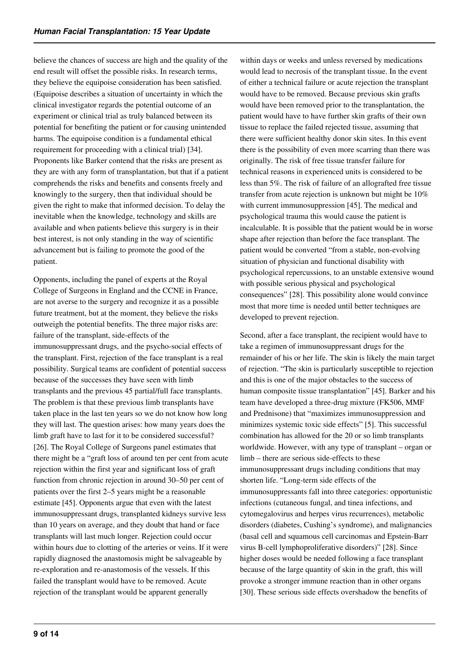believe the chances of success are high and the quality of the end result will offset the possible risks. In research terms, they believe the equipoise consideration has been satisfied. (Equipoise describes a situation of uncertainty in which the clinical investigator regards the potential outcome of an experiment or clinical trial as truly balanced between its potential for benefiting the patient or for causing unintended harms. The equipoise condition is a fundamental ethical requirement for proceeding with a clinical trial) [34]. Proponents like Barker contend that the risks are present as they are with any form of transplantation, but that if a patient comprehends the risks and benefits and consents freely and knowingly to the surgery, then that individual should be given the right to make that informed decision. To delay the inevitable when the knowledge, technology and skills are available and when patients believe this surgery is in their best interest, is not only standing in the way of scientific advancement but is failing to promote the good of the patient.

Opponents, including the panel of experts at the Royal College of Surgeons in England and the CCNE in France, are not averse to the surgery and recognize it as a possible future treatment, but at the moment, they believe the risks outweigh the potential benefits. The three major risks are: failure of the transplant, side-effects of the immunosuppressant drugs, and the psycho-social effects of the transplant. First, rejection of the face transplant is a real possibility. Surgical teams are confident of potential success because of the successes they have seen with limb transplants and the previous 45 partial/full face transplants. The problem is that these previous limb transplants have taken place in the last ten years so we do not know how long they will last. The question arises: how many years does the limb graft have to last for it to be considered successful? [26]. The Royal College of Surgeons panel estimates that there might be a "graft loss of around ten per cent from acute rejection within the first year and significant loss of graft function from chronic rejection in around 30–50 per cent of patients over the first 2–5 years might be a reasonable estimate [45]. Opponents argue that even with the latest immunosuppressant drugs, transplanted kidneys survive less than 10 years on average, and they doubt that hand or face transplants will last much longer. Rejection could occur within hours due to clotting of the arteries or veins. If it were rapidly diagnosed the anastomosis might be salvageable by re-exploration and re-anastomosis of the vessels. If this failed the transplant would have to be removed. Acute rejection of the transplant would be apparent generally

within days or weeks and unless reversed by medications would lead to necrosis of the transplant tissue. In the event of either a technical failure or acute rejection the transplant would have to be removed. Because previous skin grafts would have been removed prior to the transplantation, the patient would have to have further skin grafts of their own tissue to replace the failed rejected tissue, assuming that there were sufficient healthy donor skin sites. In this event there is the possibility of even more scarring than there was originally. The risk of free tissue transfer failure for technical reasons in experienced units is considered to be less than 5%. The risk of failure of an allografted free tissue transfer from acute rejection is unknown but might be 10% with current immunosuppression [45]. The medical and psychological trauma this would cause the patient is incalculable. It is possible that the patient would be in worse shape after rejection than before the face transplant. The patient would be converted "from a stable, non-evolving situation of physician and functional disability with psychological repercussions, to an unstable extensive wound with possible serious physical and psychological consequences" [28]. This possibility alone would convince most that more time is needed until better techniques are developed to prevent rejection.

Second, after a face transplant, the recipient would have to take a regimen of immunosuppressant drugs for the remainder of his or her life. The skin is likely the main target of rejection. "The skin is particularly susceptible to rejection and this is one of the major obstacles to the success of human composite tissue transplantation" [45]. Barker and his team have developed a three-drug mixture (FK506, MMF and Prednisone) that "maximizes immunosuppression and minimizes systemic toxic side effects" [5]. This successful combination has allowed for the 20 or so limb transplants worldwide. However, with any type of transplant – organ or limb – there are serious side-effects to these immunosuppressant drugs including conditions that may shorten life. "Long-term side effects of the immunosuppressants fall into three categories: opportunistic infections (cutaneous fungal, and tinea infections, and cytomegalovirus and herpes virus recurrences), metabolic disorders (diabetes, Cushing's syndrome), and malignancies (basal cell and squamous cell carcinomas and Epstein-Barr virus B-cell lymphoproliferative disorders)" [28]. Since higher doses would be needed following a face transplant because of the large quantity of skin in the graft, this will provoke a stronger immune reaction than in other organs [30]. These serious side effects overshadow the benefits of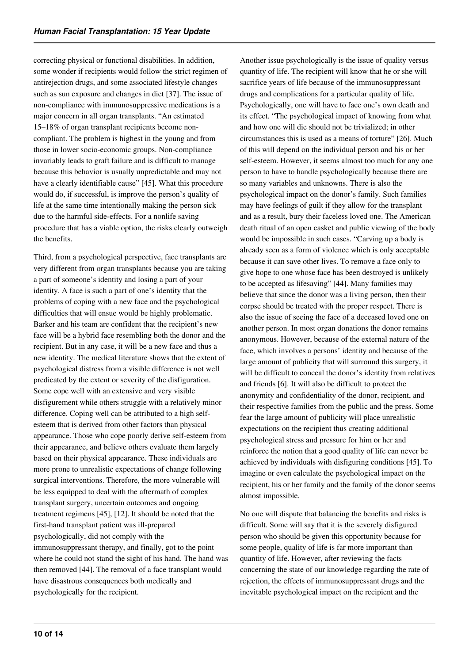correcting physical or functional disabilities. In addition, some wonder if recipients would follow the strict regimen of antirejection drugs, and some associated lifestyle changes such as sun exposure and changes in diet [37]. The issue of non-compliance with immunosuppressive medications is a major concern in all organ transplants. "An estimated 15–18% of organ transplant recipients become noncompliant. The problem is highest in the young and from those in lower socio-economic groups. Non-compliance invariably leads to graft failure and is difficult to manage because this behavior is usually unpredictable and may not have a clearly identifiable cause" [45]. What this procedure would do, if successful, is improve the person's quality of life at the same time intentionally making the person sick due to the harmful side-effects. For a nonlife saving procedure that has a viable option, the risks clearly outweigh the benefits.

Third, from a psychological perspective, face transplants are very different from organ transplants because you are taking a part of someone's identity and losing a part of your identity. A face is such a part of one's identity that the problems of coping with a new face and the psychological difficulties that will ensue would be highly problematic. Barker and his team are confident that the recipient's new face will be a hybrid face resembling both the donor and the recipient. But in any case, it will be a new face and thus a new identity. The medical literature shows that the extent of psychological distress from a visible difference is not well predicated by the extent or severity of the disfiguration. Some cope well with an extensive and very visible disfigurement while others struggle with a relatively minor difference. Coping well can be attributed to a high selfesteem that is derived from other factors than physical appearance. Those who cope poorly derive self-esteem from their appearance, and believe others evaluate them largely based on their physical appearance. These individuals are more prone to unrealistic expectations of change following surgical interventions. Therefore, the more vulnerable will be less equipped to deal with the aftermath of complex transplant surgery, uncertain outcomes and ongoing treatment regimens [45], [12]. It should be noted that the first-hand transplant patient was ill-prepared psychologically, did not comply with the immunosuppressant therapy, and finally, got to the point where he could not stand the sight of his hand. The hand was then removed [44]. The removal of a face transplant would have disastrous consequences both medically and psychologically for the recipient.

Another issue psychologically is the issue of quality versus quantity of life. The recipient will know that he or she will sacrifice years of life because of the immunosuppressant drugs and complications for a particular quality of life. Psychologically, one will have to face one's own death and its effect. "The psychological impact of knowing from what and how one will die should not be trivialized; in other circumstances this is used as a means of torture" [26]. Much of this will depend on the individual person and his or her self-esteem. However, it seems almost too much for any one person to have to handle psychologically because there are so many variables and unknowns. There is also the psychological impact on the donor's family. Such families may have feelings of guilt if they allow for the transplant and as a result, bury their faceless loved one. The American death ritual of an open casket and public viewing of the body would be impossible in such cases. "Carving up a body is already seen as a form of violence which is only acceptable because it can save other lives. To remove a face only to give hope to one whose face has been destroyed is unlikely to be accepted as lifesaving" [44]. Many families may believe that since the donor was a living person, then their corpse should be treated with the proper respect. There is also the issue of seeing the face of a deceased loved one on another person. In most organ donations the donor remains anonymous. However, because of the external nature of the face, which involves a persons' identity and because of the large amount of publicity that will surround this surgery, it will be difficult to conceal the donor's identity from relatives and friends [6]. It will also be difficult to protect the anonymity and confidentiality of the donor, recipient, and their respective families from the public and the press. Some fear the large amount of publicity will place unrealistic expectations on the recipient thus creating additional psychological stress and pressure for him or her and reinforce the notion that a good quality of life can never be achieved by individuals with disfiguring conditions [45]. To imagine or even calculate the psychological impact on the recipient, his or her family and the family of the donor seems almost impossible.

No one will dispute that balancing the benefits and risks is difficult. Some will say that it is the severely disfigured person who should be given this opportunity because for some people, quality of life is far more important than quantity of life. However, after reviewing the facts concerning the state of our knowledge regarding the rate of rejection, the effects of immunosuppressant drugs and the inevitable psychological impact on the recipient and the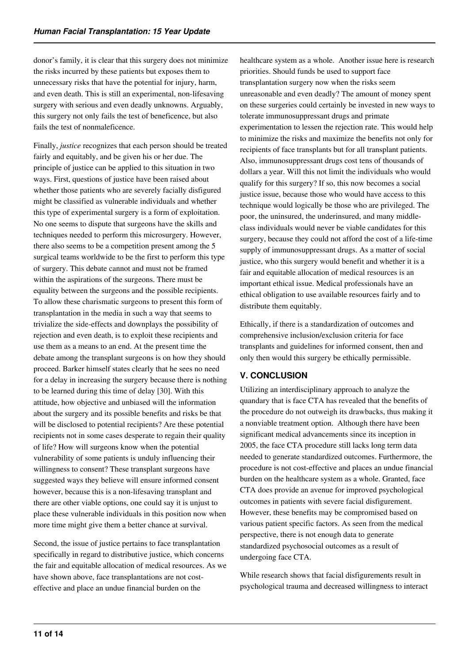donor's family, it is clear that this surgery does not minimize the risks incurred by these patients but exposes them to unnecessary risks that have the potential for injury, harm, and even death. This is still an experimental, non-lifesaving surgery with serious and even deadly unknowns. Arguably, this surgery not only fails the test of beneficence, but also fails the test of nonmaleficence.

Finally, *justice* recognizes that each person should be treated fairly and equitably, and be given his or her due. The principle of justice can be applied to this situation in two ways. First, questions of justice have been raised about whether those patients who are severely facially disfigured might be classified as vulnerable individuals and whether this type of experimental surgery is a form of exploitation. No one seems to dispute that surgeons have the skills and techniques needed to perform this microsurgery. However, there also seems to be a competition present among the 5 surgical teams worldwide to be the first to perform this type of surgery. This debate cannot and must not be framed within the aspirations of the surgeons. There must be equality between the surgeons and the possible recipients. To allow these charismatic surgeons to present this form of transplantation in the media in such a way that seems to trivialize the side-effects and downplays the possibility of rejection and even death, is to exploit these recipients and use them as a means to an end. At the present time the debate among the transplant surgeons is on how they should proceed. Barker himself states clearly that he sees no need for a delay in increasing the surgery because there is nothing to be learned during this time of delay [30]. With this attitude, how objective and unbiased will the information about the surgery and its possible benefits and risks be that will be disclosed to potential recipients? Are these potential recipients not in some cases desperate to regain their quality of life? How will surgeons know when the potential vulnerability of some patients is unduly influencing their willingness to consent? These transplant surgeons have suggested ways they believe will ensure informed consent however, because this is a non-lifesaving transplant and there are other viable options, one could say it is unjust to place these vulnerable individuals in this position now when more time might give them a better chance at survival.

Second, the issue of justice pertains to face transplantation specifically in regard to distributive justice, which concerns the fair and equitable allocation of medical resources. As we have shown above, face transplantations are not costeffective and place an undue financial burden on the

healthcare system as a whole. Another issue here is research priorities. Should funds be used to support face transplantation surgery now when the risks seem unreasonable and even deadly? The amount of money spent on these surgeries could certainly be invested in new ways to tolerate immunosuppressant drugs and primate experimentation to lessen the rejection rate. This would help to minimize the risks and maximize the benefits not only for recipients of face transplants but for all transplant patients. Also, immunosuppressant drugs cost tens of thousands of dollars a year. Will this not limit the individuals who would qualify for this surgery? If so, this now becomes a social justice issue, because those who would have access to this technique would logically be those who are privileged. The poor, the uninsured, the underinsured, and many middleclass individuals would never be viable candidates for this surgery, because they could not afford the cost of a life-time supply of immunosuppressant drugs. As a matter of social justice, who this surgery would benefit and whether it is a fair and equitable allocation of medical resources is an important ethical issue. Medical professionals have an ethical obligation to use available resources fairly and to distribute them equitably.

Ethically, if there is a standardization of outcomes and comprehensive inclusion/exclusion criteria for face transplants and guidelines for informed consent, then and only then would this surgery be ethically permissible.

# **V. CONCLUSION**

Utilizing an interdisciplinary approach to analyze the quandary that is face CTA has revealed that the benefits of the procedure do not outweigh its drawbacks, thus making it a nonviable treatment option. Although there have been significant medical advancements since its inception in 2005, the face CTA procedure still lacks long term data needed to generate standardized outcomes. Furthermore, the procedure is not cost-effective and places an undue financial burden on the healthcare system as a whole. Granted, face CTA does provide an avenue for improved psychological outcomes in patients with severe facial disfigurement. However, these benefits may be compromised based on various patient specific factors. As seen from the medical perspective, there is not enough data to generate standardized psychosocial outcomes as a result of undergoing face CTA.

While research shows that facial disfigurements result in psychological trauma and decreased willingness to interact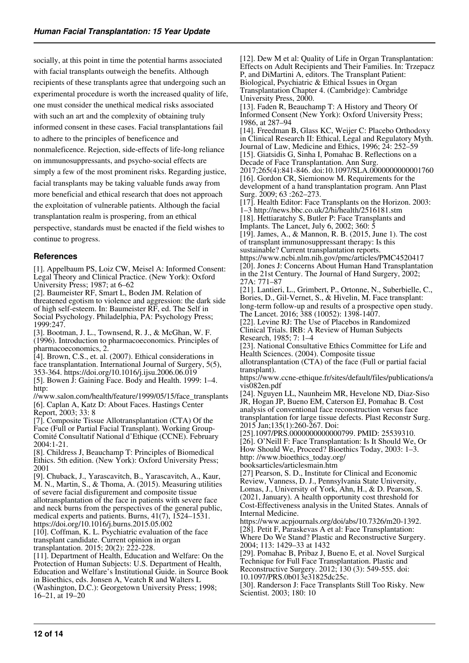socially, at this point in time the potential harms associated with facial transplants outweigh the benefits. Although recipients of these transplants agree that undergoing such an experimental procedure is worth the increased quality of life, one must consider the unethical medical risks associated with such an art and the complexity of obtaining truly informed consent in these cases. Facial transplantations fail to adhere to the principles of beneficence and nonmaleficence. Rejection, side-effects of life-long reliance on immunosuppressants, and psycho-social effects are simply a few of the most prominent risks. Regarding justice, facial transplants may be taking valuable funds away from more beneficial and ethical research that does not approach the exploitation of vulnerable patients. Although the facial transplantation realm is prospering, from an ethical perspective, standards must be enacted if the field wishes to continue to progress.

#### **References**

[1]. Appelbaum PS, Loiz CW, Meisel A: Informed Consent: Legal Theory and Clinical Practice. (New York): Oxford University Press; 1987; at 6–62

[2]. Baumeister RF, Smart L, Boden JM. Relation of threatened egotism to violence and aggression: the dark side of high self-esteem. In: Baumeister RF, ed. The Self in Social Psychology. Philadelphia, PA: Psychology Press; 1999:247.

[3]. Bootman, J. L., Townsend, R. J., & McGhan, W. F. (1996). Introduction to pharmacoeconomics. Principles of pharmacoeconomics, 2.

[4]. Brown, C.S., et. al. (2007). Ethical considerations in face transplantation. International Journal of Surgery, 5(5), 353-364. https://doi.org/10.1016/j.ijsu.2006.06.019

[5]. Bowen J: Gaining Face. Body and Health. 1999: 1–4. http:

//www.salon.com/health/feature/1999/05/15/face\_transplants [6]. Caplan A, Katz D: About Faces. Hastings Center Report, 2003; 33: 8

[7]. Composite Tissue Allotransplantation (CTA) Of the Face (Full or Partial Facial Transplant). Working Group-Comité Consultatif National d'Ethique (CCNE). February 2004:1-21.

[8]. Childress J, Beauchamp T: Principles of Biomedical Ethics. 5th edition. (New York): Oxford University Press; 2001

[9]. Chuback, J., Yarascavitch, B., Yarascavitch, A., Kaur, M. N., Martin, S., & Thoma, A. (2015). Measuring utilities of severe facial disfigurement and composite tissue allotransplantation of the face in patients with severe face and neck burns from the perspectives of the general public, medical experts and patients. Burns, 41(7), 1524–1531. https://doi.org/10.1016/j.burns.2015.05.002

[10]. Coffman, K. L. Psychiatric evaluation of the face transplant candidate. Current opinion in organ transplantation. 2015; 20(2): 222-228.

[11]. Department of Health, Education and Welfare: On the Protection of Human Subjects: U.S. Department of Health, Education and Welfare's Institutional Guide. in Source Book in Bioethics, eds. Jonsen A, Veatch R and Walters L (Washington, D.C.): Georgetown University Press; 1998; 16–21, at 19–20

[12]. Dew M et al: Quality of Life in Organ Transplantation: Effects on Adult Recipients and Their Families. In: Trzepacz P, and DiMartini A, editors. The Transplant Patient: Biological, Psychiatric & Ethical Issues in Organ Transplantation Chapter 4. (Cambridge): Cambridge University Press, 2000. [13]. Faden R, Beauchamp T: A History and Theory Of Informed Consent (New York): Oxford University Press; 1986, at 287–94 [14]. Freedman B, Glass KC, Weijer C: Placebo Orthodoxy in Clinical Research II: Ethical, Legal and Regulatory Myth. Journal of Law, Medicine and Ethics, 1996; 24: 252–59 [15]. Giatsidis G, Sinha I, Pomahac B. Reflections on a Decade of Face Transplantation. Ann Surg. 2017;265(4):841-846. doi:10.1097/SLA.0000000000001760 [16]. Gordon CR, Siemionow M. Requirements for the development of a hand transplantation program. Ann Plast Surg. 2009; 63 :262–273. [17]. Health Editor: Face Transplants on the Horizon. 2003: 1–3 http://news.bbc.co.uk/2/hi/health/2516181.stm [18]. Hettiaratchy S, Butler P: Face Transplants and Implants. The Lancet, July 6, 2002; 360: 5 [19]. James, A., & Mannon, R. B. (2015, June 1). The cost of transplant immunosuppressant therapy: Is this sustainable? Current transplantation reports. https://www.ncbi.nlm.nih.gov/pmc/articles/PMC4520417 [20]. Jones J: Concerns About Human Hand Transplantation in the 21st Century. The Journal of Hand Surgery, 2002; 27A: 771–87 [21]. Lantieri, L., Grimbert, P., Ortonne, N., Suberbielle, C., Bories, D., Gil-Vernet, S., & Hivelin, M. Face transplant: long-term follow-up and results of a prospective open study. The Lancet. 2016; 388 (10052): 1398-1407. [22]. Levine RJ: The Use of Placebos in Randomized Clinical Trials. IRB: A Review of Human Subjects Research, 1985; 7: 1–4 [23]. National Consultative Ethics Committee for Life and Health Sciences. (2004). Composite tissue allotransplantation (CTA) of the face (Full or partial facial transplant). https://www.ccne-ethique.fr/sites/default/files/publications/a vis082en.pdf [24]. Nguyen LL, Naunheim MR, Hevelone ND, Diaz-Siso JR, Hogan JP, Bueno EM, Caterson EJ, Pomahac B. Cost analysis of conventional face reconstruction versus face transplantation for large tissue defects. Plast Reconstr Surg. 2015 Jan;135(1):260-267. Doi:

[25].1097/PRS.0000000000000799. PMID: 25539310. [26]. O'Neill F: Face Transplantation: Is It Should We, Or How Should We, Proceed? Bioethics Today, 2003: 1–3. http: //www.bioethics\_today.org/ booksarticles/articlesmain.htm

[27] Pearson, S. D., Institute for Clinical and Economic Review, Vanness, D. J., Pennsylvania State University, Lomas, J., University of York, Ahn, H., & D. Pearson, S. (2021, January). A health opportunity cost threshold for Cost-Effectiveness analysis in the United States. Annals of Internal Medicine.

https://www.acpjournals.org/doi/abs/10.7326/m20-1392. [28]. Petit F, Paraskevas A et al: Face Transplantation: Where Do We Stand? Plastic and Reconstructive Surgery. 2004; 113: 1429–33 at 1432

[29]. Pomahac B, Pribaz J, Bueno E, et al. Novel Surgical Technique for Full Face Transplantation. Plastic and Reconstructive Surgery. 2012; 130 (3): 549-555. doi: 10.1097/PRS.0b013e31825dc25c.

[30]. Randerson J: Face Transplants Still Too Risky. New Scientist. 2003; 180: 10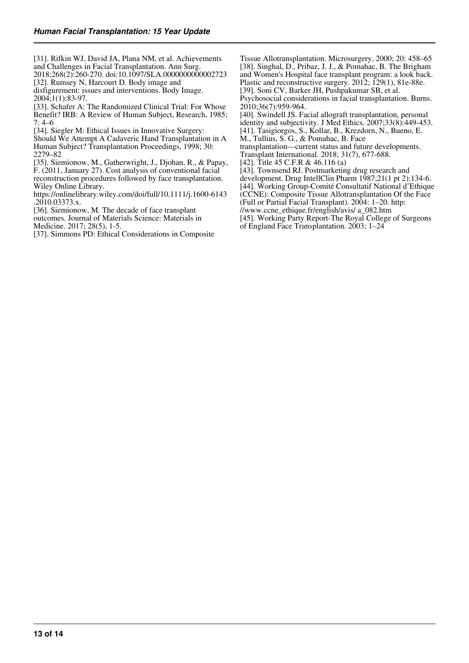[31]. Rifkin WJ, David JA, Plana NM, et al. Achievements and Challenges in Facial Transplantation. Ann Surg. 2018;268(2):260-270. doi:10.1097/SLA.0000000000002723

[32]. Rumsey N, Harcourt D. Body image and

disfigurement: issues and interventions. Body Image. 2004;1(1):83-97.

[33]. Schafer A: The Randomized Clinical Trial: For Whose Benefit? IRB: A Review of Human Subject, Research, 1985; 7: 4–6

[34]. Siegler M: Ethical Issues in Innovative Surgery:

Should We Attempt A Cadaveric Hand Transplantation in A Human Subject? Transplantation Proceedings, 1998; 30: 2279–82

[35]. Siemionow, M., Gatherwright, J., Djohan, R., & Papay, F. (2011, January 27). Cost analysis of conventional facial reconstruction procedures followed by face transplantation. Wiley Online Library.

https://onlinelibrary.wiley.com/doi/full/10.1111/j.1600-6143 .2010.03373.x.

[36]. Siemionow, M. The decade of face transplant outcomes. Journal of Materials Science: Materials in Medicine. 2017; 28(5), 1-5.

[37]. Simmons PD: Ethical Considerations in Composite

Tissue Allotransplantation. Microsurgery, 2000; 20: 458–65 [38]. Singhal, D., Pribaz, J. J., & Pomahac, B. The Brigham and Women's Hospital face transplant program: a look back. Plastic and reconstructive surgery. 2012; 129(1), 81e-88e.

[39]. Soni CV, Barker JH, Pushpakumar SB, et al.

Psychosocial considerations in facial transplantation. Burns. 2010;36(7):959-964.

[40]. Swindell JS. Facial allograft transplantation, personal identity and subjectivity. J Med Ethics. 2007;33(8):449-453. [41]. Tasigiorgos, S., Kollar, B., Krezdorn, N., Bueno, E.

M., Tullius, S. G., & Pomahac, B. Face

transplantation—current status and future developments. Transplant International. 2018; 31(7), 677-688.

[42]. Title 45 C.F.R & 46.116 (a)

[43]. Townsend RJ. Postmarketing drug research and development. Drug IntellClin Pharm 1987;21(1 pt 2):134-6.

[44]. Working Group-Comité Consultatif National d'Ethique

(CCNE): Composite Tissue Allotransplantation Of the Face (Full or Partial Facial Transplant). 2004: 1–20. http:

//www.ccne\_ethique.fr/english/avis/ a\_082.htm

[45]. Working Party Report-The Royal College of Surgeons

of England Face Transplantation. 2003; 1–24